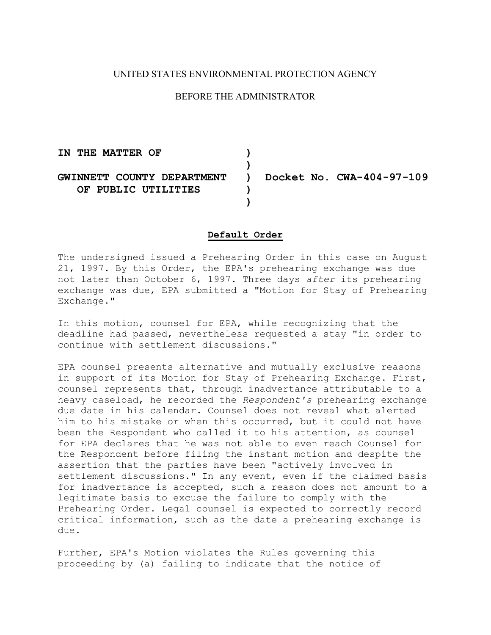## UNITED STATES ENVIRONMENTAL PROTECTION AGENCY

# BEFORE THE ADMINISTRATOR

 **IN THE MATTER OF ) GWINNETT COUNTY DEPARTMENT ) Docket No. CWA-404-97-109 ) OF PUBLIC UTILITIES ) )** 

#### **Default Order**

The undersigned issued a Prehearing Order in this case on August 21, 1997. By this Order, the EPA's prehearing exchange was due not later than October 6, 1997. Three days *after* its prehearing exchange was due, EPA submitted a "Motion for Stay of Prehearing Exchange."

In this motion, counsel for EPA, while recognizing that the deadline had passed, nevertheless requested a stay "in order to continue with settlement discussions."

EPA counsel presents alternative and mutually exclusive reasons in support of its Motion for Stay of Prehearing Exchange. First, counsel represents that, through inadvertance attributable to a heavy caseload, he recorded the *Respondent's* prehearing exchange due date in his calendar. Counsel does not reveal what alerted him to his mistake or when this occurred, but it could not have been the Respondent who called it to his attention, as counsel for EPA declares that he was not able to even reach Counsel for the Respondent before filing the instant motion and despite the assertion that the parties have been "actively involved in settlement discussions." In any event, even if the claimed basis for inadvertance is accepted, such a reason does not amount to a legitimate basis to excuse the failure to comply with the Prehearing Order. Legal counsel is expected to correctly record critical information, such as the date a prehearing exchange is due.

Further, EPA's Motion violates the Rules governing this proceeding by (a) failing to indicate that the notice of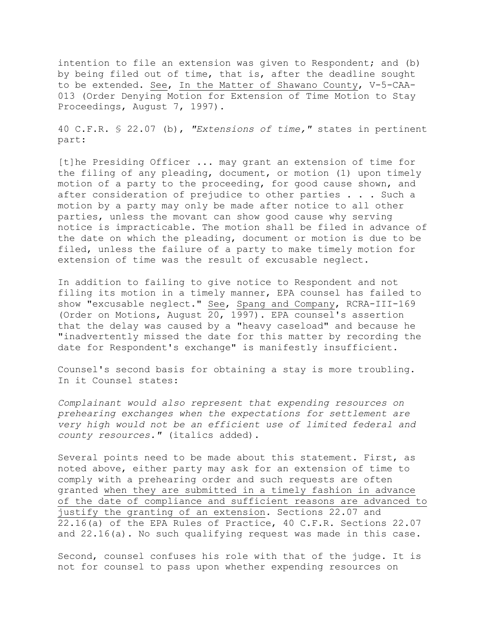intention to file an extension was given to Respondent; and (b) by being filed out of time, that is, after the deadline sought to be extended. See, In the Matter of Shawano County, V-5-CAA-013 (Order Denying Motion for Extension of Time Motion to Stay Proceedings, August 7, 1997).

40 C.F.R. § 22.07 (b), *"Extensions of time,"* states in pertinent part:

[t]he Presiding Officer ... may grant an extension of time for the filing of any pleading, document, or motion (1) upon timely motion of a party to the proceeding, for good cause shown, and after consideration of prejudice to other parties . . . Such a motion by a party may only be made after notice to all other parties, unless the movant can show good cause why serving notice is impracticable. The motion shall be filed in advance of the date on which the pleading, document or motion is due to be filed, unless the failure of a party to make timely motion for extension of time was the result of excusable neglect.

In addition to failing to give notice to Respondent and not filing its motion in a timely manner, EPA counsel has failed to show "excusable neglect." See, Spang and Company, RCRA-III-169 (Order on Motions, August 20, 1997). EPA counsel's assertion that the delay was caused by a "heavy caseload" and because he "inadvertently missed the date for this matter by recording the date for Respondent's exchange" is manifestly insufficient.

Counsel's second basis for obtaining a stay is more troubling. In it Counsel states:

*Complainant would also represent that expending resources on prehearing exchanges when the expectations for settlement are very high would not be an efficient use of limited federal and county resources."* (italics added).

Several points need to be made about this statement. First, as noted above, either party may ask for an extension of time to comply with a prehearing order and such requests are often granted when they are submitted in a timely fashion in advance of the date of compliance and sufficient reasons are advanced to justify the granting of an extension. Sections 22.07 and 22.16(a) of the EPA Rules of Practice, 40 C.F.R. Sections 22.07 and 22.16(a). No such qualifying request was made in this case.

Second, counsel confuses his role with that of the judge. It is not for counsel to pass upon whether expending resources on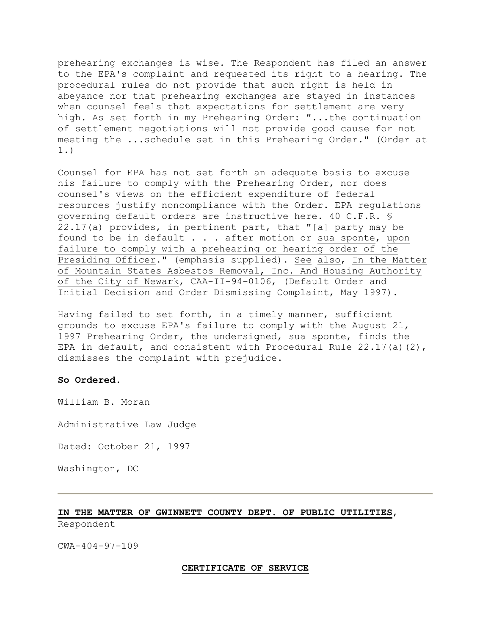prehearing exchanges is wise. The Respondent has filed an answer to the EPA's complaint and requested its right to a hearing. The procedural rules do not provide that such right is held in abeyance nor that prehearing exchanges are stayed in instances when counsel feels that expectations for settlement are very high. As set forth in my Prehearing Order: "...the continuation of settlement negotiations will not provide good cause for not meeting the ...schedule set in this Prehearing Order." (Order at 1.)

Counsel for EPA has not set forth an adequate basis to excuse his failure to comply with the Prehearing Order, nor does counsel's views on the efficient expenditure of federal resources justify noncompliance with the Order. EPA regulations governing default orders are instructive here. 40 C.F.R. § 22.17(a) provides, in pertinent part, that "[a] party may be found to be in default . . . after motion or sua sponte, upon failure to comply with a prehearing or hearing order of the Presiding Officer." (emphasis supplied). See also, In the Matter of Mountain States Asbestos Removal, Inc. And Housing Authority of the City of Newark, CAA-II-94-0106, (Default Order and Initial Decision and Order Dismissing Complaint, May 1997).

Having failed to set forth, in a timely manner, sufficient grounds to excuse EPA's failure to comply with the August 21, 1997 Prehearing Order, the undersigned, sua sponte, finds the EPA in default, and consistent with Procedural Rule  $22.17(a)(2)$ , dismisses the complaint with prejudice.

### **So Ordered.**

William B. Moran

Administrative Law Judge

Dated: October 21, 1997

Washington, DC

## **IN THE MATTER OF GWINNETT COUNTY DEPT. OF PUBLIC UTILITIES**,

Respondent

CWA-404-97-109

#### **CERTIFICATE OF SERVICE**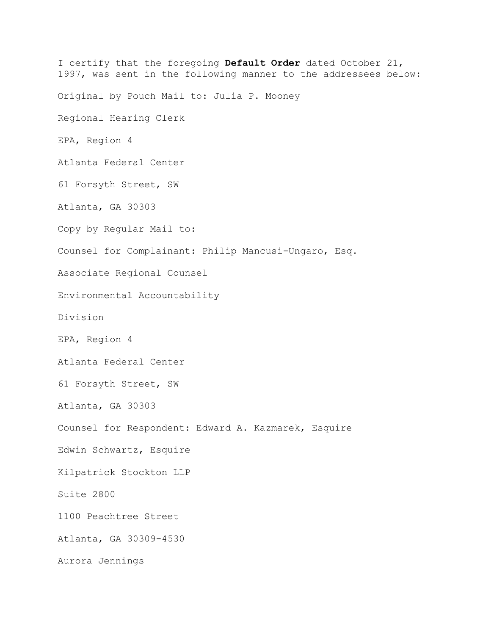I certify that the foregoing **Default Order** dated October 21, 1997, was sent in the following manner to the addressees below: Original by Pouch Mail to: Julia P. Mooney Regional Hearing Clerk EPA, Region 4 Atlanta Federal Center 61 Forsyth Street, SW Atlanta, GA 30303 Copy by Regular Mail to: Counsel for Complainant: Philip Mancusi-Ungaro, Esq. Associate Regional Counsel Environmental Accountability Division EPA, Region 4 Atlanta Federal Center 61 Forsyth Street, SW Atlanta, GA 30303 Counsel for Respondent: Edward A. Kazmarek, Esquire Edwin Schwartz, Esquire Kilpatrick Stockton LLP Suite 2800 1100 Peachtree Street Atlanta, GA 30309-4530 Aurora Jennings